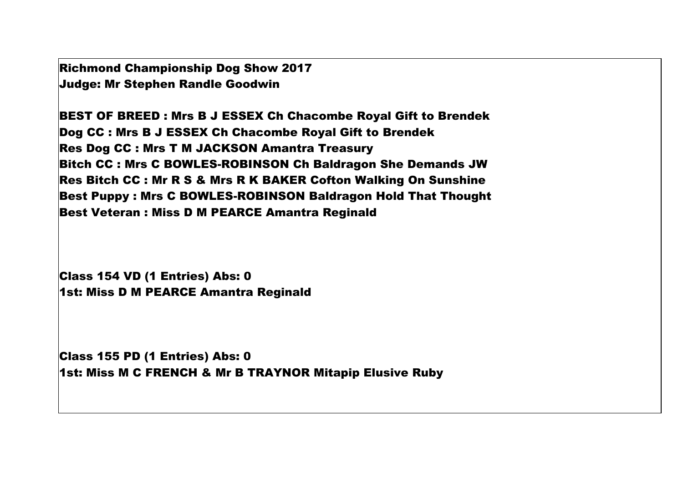Richmond Championship Dog Show 2017 Judge: Mr Stephen Randle Goodwin

BEST OF BREED : Mrs B J ESSEX Ch Chacombe Royal Gift to Brendek Dog CC : Mrs B J ESSEX Ch Chacombe Royal Gift to Brendek Res Dog CC : Mrs T M JACKSON Amantra Treasury Bitch CC : Mrs C BOWLES-ROBINSON Ch Baldragon She Demands JW Res Bitch CC : Mr R S & Mrs R K BAKER Cofton Walking On Sunshine Best Puppy : Mrs C BOWLES-ROBINSON Baldragon Hold That Thought Best Veteran : Miss D M PEARCE Amantra Reginald

Class 154 VD (1 Entries) Abs: 0 1st: Miss D M PEARCE Amantra Reginald

Class 155 PD (1 Entries) Abs: 0 1st: Miss M C FRENCH & Mr B TRAYNOR Mitapip Elusive Ruby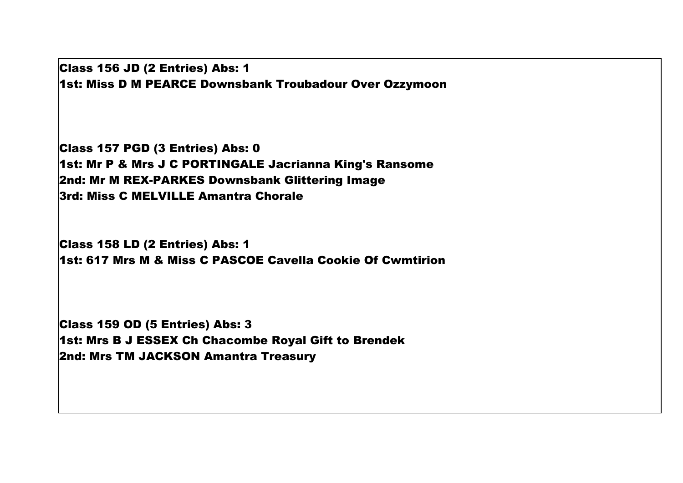Class 156 JD (2 Entries) Abs: 1 1st: Miss D M PEARCE Downsbank Troubadour Over Ozzymoon

Class 157 PGD (3 Entries) Abs: 0 1st: Mr P & Mrs J C PORTINGALE Jacrianna King's Ransome 2nd: Mr M REX-PARKES Downsbank Glittering Image 3rd: Miss C MELVILLE Amantra Chorale

Class 158 LD (2 Entries) Abs: 1 1st: 617 Mrs M & Miss C PASCOE Cavella Cookie Of Cwmtirion

Class 159 OD (5 Entries) Abs: 3 1st: Mrs B J ESSEX Ch Chacombe Royal Gift to Brendek 2nd: Mrs TM JACKSON Amantra Treasury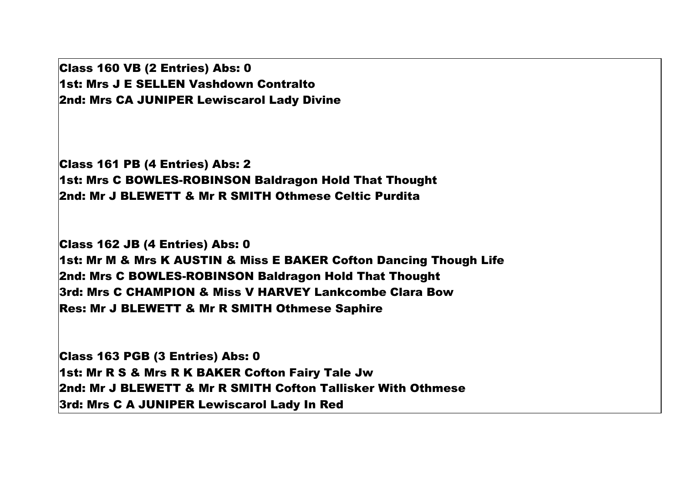Class 160 VB (2 Entries) Abs: 0 1st: Mrs J E SELLEN Vashdown Contralto 2nd: Mrs CA JUNIPER Lewiscarol Lady Divine

Class 161 PB (4 Entries) Abs: 2 1st: Mrs C BOWLES-ROBINSON Baldragon Hold That Thought 2nd: Mr J BLEWETT & Mr R SMITH Othmese Celtic Purdita

Class 162 JB (4 Entries) Abs: 0 1st: Mr M & Mrs K AUSTIN & Miss E BAKER Cofton Dancing Though Life 2nd: Mrs C BOWLES-ROBINSON Baldragon Hold That Thought 3rd: Mrs C CHAMPION & Miss V HARVEY Lankcombe Clara Bow Res: Mr J BLEWETT & Mr R SMITH Othmese Saphire

Class 163 PGB (3 Entries) Abs: 0 1st: Mr R S & Mrs R K BAKER Cofton Fairy Tale Jw 2nd: Mr J BLEWETT & Mr R SMITH Cofton Tallisker With Othmese 3rd: Mrs C A JUNIPER Lewiscarol Lady In Red